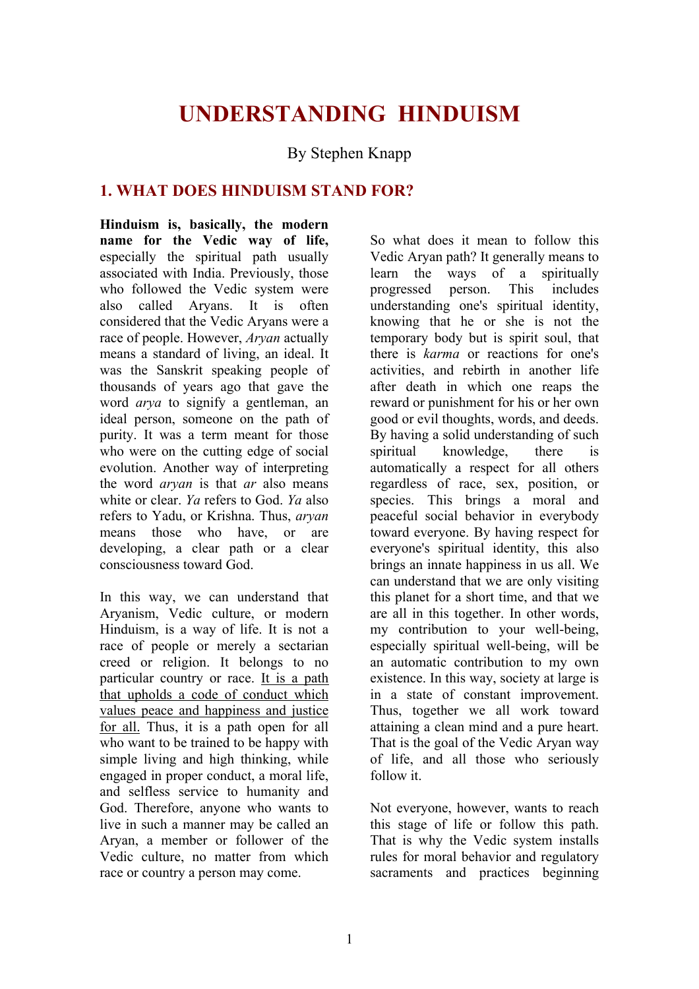# **UNDERSTANDING HINDUISM**

By Stephen Knapp

# **1. WHAT DOES HINDUISM STAND FOR?**

**Hinduism is, basically, the modern name for the Vedic way of life,** especially the spiritual path usually associated with India. Previously, those who followed the Vedic system were also called Aryans. It is often considered that the Vedic Aryans were a race of people. However, *Aryan* actually means a standard of living, an ideal. It was the Sanskrit speaking people of thousands of years ago that gave the word *arya* to signify a gentleman, an ideal person, someone on the path of purity. It was a term meant for those who were on the cutting edge of social evolution. Another way of interpreting the word *aryan* is that *ar* also means white or clear. *Ya* refers to God. *Ya* also refers to Yadu, or Krishna. Thus, *aryan* means those who have, or are developing, a clear path or a clear consciousness toward God.

In this way, we can understand that Aryanism, Vedic culture, or modern Hinduism, is a way of life. It is not a race of people or merely a sectarian creed or religion. It belongs to no particular country or race. It is a path that upholds a code of conduct which values peace and happiness and justice for all. Thus, it is a path open for all who want to be trained to be happy with simple living and high thinking, while engaged in proper conduct, a moral life, and selfless service to humanity and God. Therefore, anyone who wants to live in such a manner may be called an Aryan, a member or follower of the Vedic culture, no matter from which race or country a person may come.

So what does it mean to follow this Vedic Aryan path? It generally means to learn the ways of a spiritually progressed person. This includes understanding one's spiritual identity, knowing that he or she is not the temporary body but is spirit soul, that there is *karma* or reactions for one's activities, and rebirth in another life after death in which one reaps the reward or punishment for his or her own good or evil thoughts, words, and deeds. By having a solid understanding of such spiritual knowledge, there is automatically a respect for all others regardless of race, sex, position, or species. This brings a moral and peaceful social behavior in everybody toward everyone. By having respect for everyone's spiritual identity, this also brings an innate happiness in us all. We can understand that we are only visiting this planet for a short time, and that we are all in this together. In other words, my contribution to your well-being, especially spiritual well-being, will be an automatic contribution to my own existence. In this way, society at large is in a state of constant improvement. Thus, together we all work toward attaining a clean mind and a pure heart. That is the goal of the Vedic Aryan way of life, and all those who seriously follow it.

Not everyone, however, wants to reach this stage of life or follow this path. That is why the Vedic system installs rules for moral behavior and regulatory sacraments and practices beginning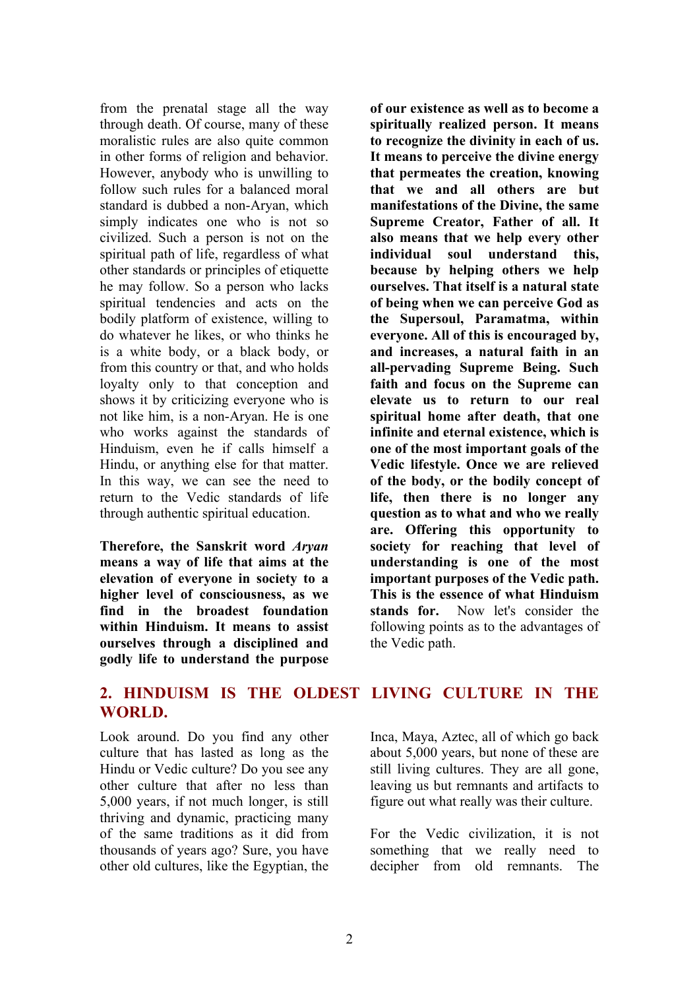from the prenatal stage all the way through death. Of course, many of these moralistic rules are also quite common in other forms of religion and behavior. However, anybody who is unwilling to follow such rules for a balanced moral standard is dubbed a non-Aryan, which simply indicates one who is not so civilized. Such a person is not on the spiritual path of life, regardless of what other standards or principles of etiquette he may follow. So a person who lacks spiritual tendencies and acts on the bodily platform of existence, willing to do whatever he likes, or who thinks he is a white body, or a black body, or from this country or that, and who holds loyalty only to that conception and shows it by criticizing everyone who is not like him, is a non-Aryan. He is one who works against the standards of Hinduism, even he if calls himself a Hindu, or anything else for that matter. In this way, we can see the need to return to the Vedic standards of life through authentic spiritual education.

**Therefore, the Sanskrit word** *Aryan* **means a way of life that aims at the elevation of everyone in society to a higher level of consciousness, as we find in the broadest foundation within Hinduism. It means to assist ourselves through a disciplined and godly life to understand the purpose** 

**of our existence as well as to become a spiritually realized person. It means to recognize the divinity in each of us. It means to perceive the divine energy that permeates the creation, knowing that we and all others are but manifestations of the Divine, the same Supreme Creator, Father of all. It also means that we help every other individual soul understand this, because by helping others we help ourselves. That itself is a natural state of being when we can perceive God as the Supersoul, Paramatma, within everyone. All of this is encouraged by, and increases, a natural faith in an all-pervading Supreme Being. Such faith and focus on the Supreme can elevate us to return to our real spiritual home after death, that one infinite and eternal existence, which is one of the most important goals of the Vedic lifestyle. Once we are relieved of the body, or the bodily concept of life, then there is no longer any question as to what and who we really are. Offering this opportunity to society for reaching that level of understanding is one of the most important purposes of the Vedic path. This is the essence of what Hinduism stands for.** Now let's consider the following points as to the advantages of the Vedic path.

# **2. HINDUISM IS THE OLDEST LIVING CULTURE IN THE WORLD.**

Look around. Do you find any other culture that has lasted as long as the Hindu or Vedic culture? Do you see any other culture that after no less than 5,000 years, if not much longer, is still thriving and dynamic, practicing many of the same traditions as it did from thousands of years ago? Sure, you have other old cultures, like the Egyptian, the

Inca, Maya, Aztec, all of which go back about 5,000 years, but none of these are still living cultures. They are all gone, leaving us but remnants and artifacts to figure out what really was their culture.

For the Vedic civilization, it is not something that we really need to decipher from old remnants. The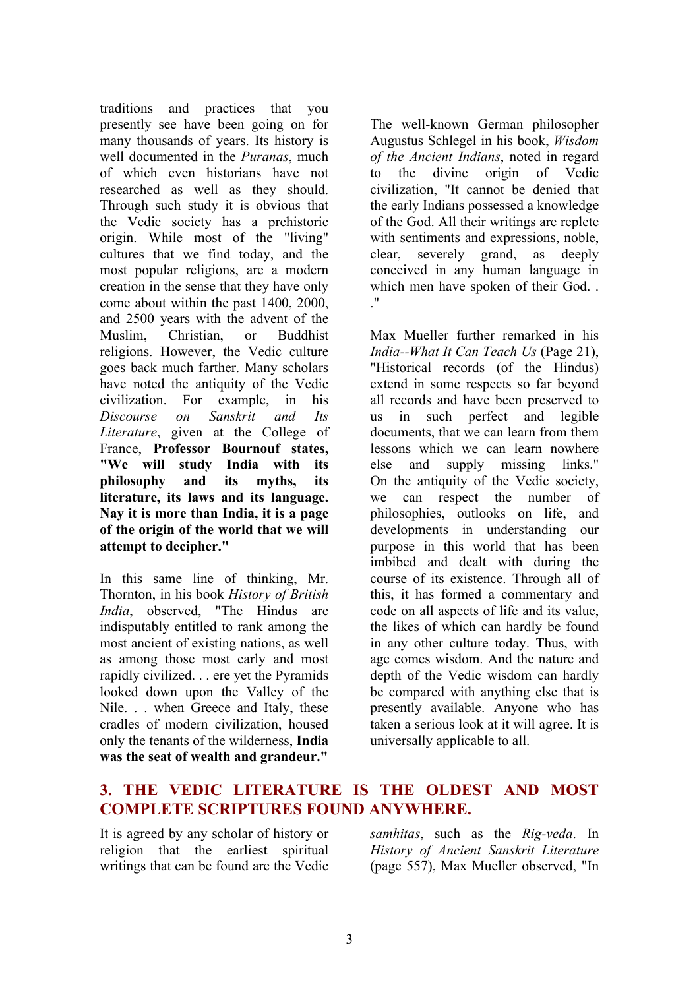traditions and practices that you presently see have been going on for many thousands of years. Its history is well documented in the *Puranas*, much of which even historians have not researched as well as they should. Through such study it is obvious that the Vedic society has a prehistoric origin. While most of the "living" cultures that we find today, and the most popular religions, are a modern creation in the sense that they have only come about within the past 1400, 2000, and 2500 years with the advent of the Muslim, Christian, or Buddhist religions. However, the Vedic culture goes back much farther. Many scholars have noted the antiquity of the Vedic civilization. For example, in his *Discourse on Sanskrit and Its Literature*, given at the College of France, **Professor Bournouf states, "We will study India with its philosophy and its myths, its literature, its laws and its language. Nay it is more than India, it is a page of the origin of the world that we will attempt to decipher."**

In this same line of thinking, Mr. Thornton, in his book *History of British India*, observed, "The Hindus are indisputably entitled to rank among the most ancient of existing nations, as well as among those most early and most rapidly civilized. . . ere yet the Pyramids looked down upon the Valley of the Nile. . . when Greece and Italy, these cradles of modern civilization, housed only the tenants of the wilderness, **India was the seat of wealth and grandeur."**

The well-known German philosopher Augustus Schlegel in his book, *Wisdom of the Ancient Indians*, noted in regard to the divine origin of Vedic civilization, "It cannot be denied that the early Indians possessed a knowledge of the God. All their writings are replete with sentiments and expressions, noble, clear, severely grand, as deeply conceived in any human language in which men have spoken of their God. . ."

Max Mueller further remarked in his *India--What It Can Teach Us* (Page 21), "Historical records (of the Hindus) extend in some respects so far beyond all records and have been preserved to us in such perfect and legible documents, that we can learn from them lessons which we can learn nowhere else and supply missing links." On the antiquity of the Vedic society, we can respect the number of philosophies, outlooks on life, and developments in understanding our purpose in this world that has been imbibed and dealt with during the course of its existence. Through all of this, it has formed a commentary and code on all aspects of life and its value, the likes of which can hardly be found in any other culture today. Thus, with age comes wisdom. And the nature and depth of the Vedic wisdom can hardly be compared with anything else that is presently available. Anyone who has taken a serious look at it will agree. It is universally applicable to all.

# **3. THE VEDIC LITERATURE IS THE OLDEST AND MOST COMPLETE SCRIPTURES FOUND ANYWHERE.**

It is agreed by any scholar of history or religion that the earliest spiritual writings that can be found are the Vedic *samhitas*, such as the *Rig-veda*. In *History of Ancient Sanskrit Literature* (page 557), Max Mueller observed, "In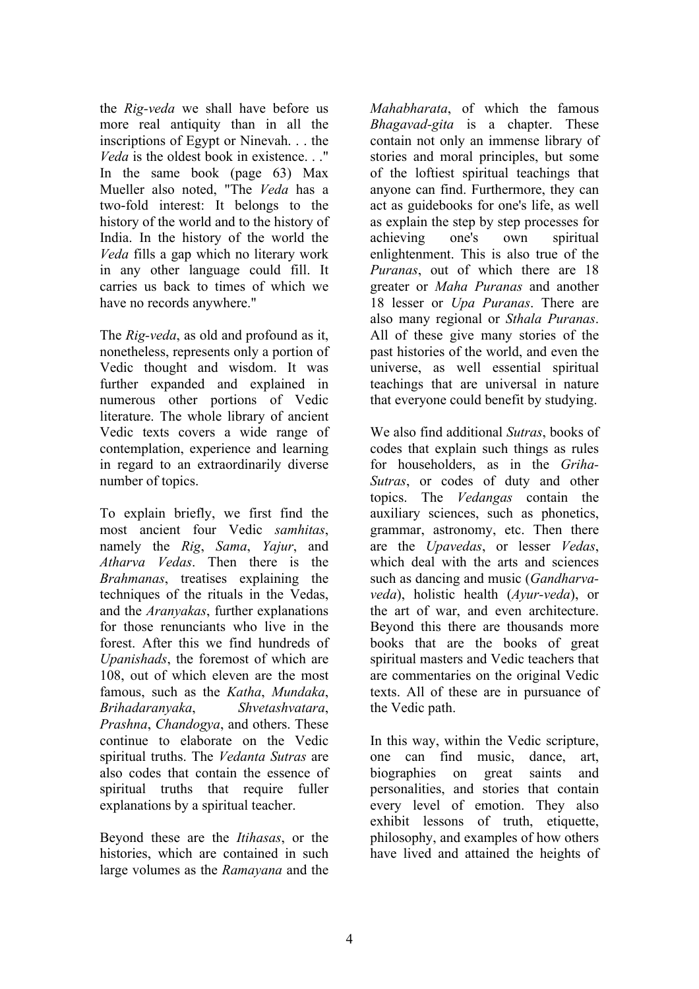the *Rig-veda* we shall have before us more real antiquity than in all the inscriptions of Egypt or Ninevah. . . the *Veda* is the oldest book in existence. . ." In the same book (page 63) Max Mueller also noted, "The *Veda* has a two-fold interest: It belongs to the history of the world and to the history of India. In the history of the world the *Veda* fills a gap which no literary work in any other language could fill. It carries us back to times of which we have no records anywhere."

The *Rig-veda*, as old and profound as it, nonetheless, represents only a portion of Vedic thought and wisdom. It was further expanded and explained in numerous other portions of Vedic literature. The whole library of ancient Vedic texts covers a wide range of contemplation, experience and learning in regard to an extraordinarily diverse number of topics.

To explain briefly, we first find the most ancient four Vedic *samhitas*, namely the *Rig*, *Sama*, *Yajur*, and *Atharva Vedas*. Then there is the *Brahmanas*, treatises explaining the techniques of the rituals in the Vedas, and the *Aranyakas*, further explanations for those renunciants who live in the forest. After this we find hundreds of *Upanishads*, the foremost of which are 108, out of which eleven are the most famous, such as the *Katha*, *Mundaka*, *Brihadaranyaka*, *Shvetashvatara*, *Prashna*, *Chandogya*, and others. These continue to elaborate on the Vedic spiritual truths. The *Vedanta Sutras* are also codes that contain the essence of spiritual truths that require fuller explanations by a spiritual teacher.

Beyond these are the *Itihasas*, or the histories, which are contained in such large volumes as the *Ramayana* and the *Mahabharata*, of which the famous *Bhagavad-gita* is a chapter. These contain not only an immense library of stories and moral principles, but some of the loftiest spiritual teachings that anyone can find. Furthermore, they can act as guidebooks for one's life, as well as explain the step by step processes for achieving one's own spiritual enlightenment. This is also true of the *Puranas*, out of which there are 18 greater or *Maha Puranas* and another 18 lesser or *Upa Puranas*. There are also many regional or *Sthala Puranas*. All of these give many stories of the past histories of the world, and even the universe, as well essential spiritual teachings that are universal in nature that everyone could benefit by studying.

We also find additional *Sutras*, books of codes that explain such things as rules for householders, as in the *Griha-Sutras*, or codes of duty and other topics. The *Vedangas* contain the auxiliary sciences, such as phonetics, grammar, astronomy, etc. Then there are the *Upavedas*, or lesser *Vedas*, which deal with the arts and sciences such as dancing and music (*Gandharvaveda*), holistic health (*Ayur-veda*), or the art of war, and even architecture. Beyond this there are thousands more books that are the books of great spiritual masters and Vedic teachers that are commentaries on the original Vedic texts. All of these are in pursuance of the Vedic path.

In this way, within the Vedic scripture, one can find music, dance, art, biographies on great saints and personalities, and stories that contain every level of emotion. They also exhibit lessons of truth, etiquette, philosophy, and examples of how others have lived and attained the heights of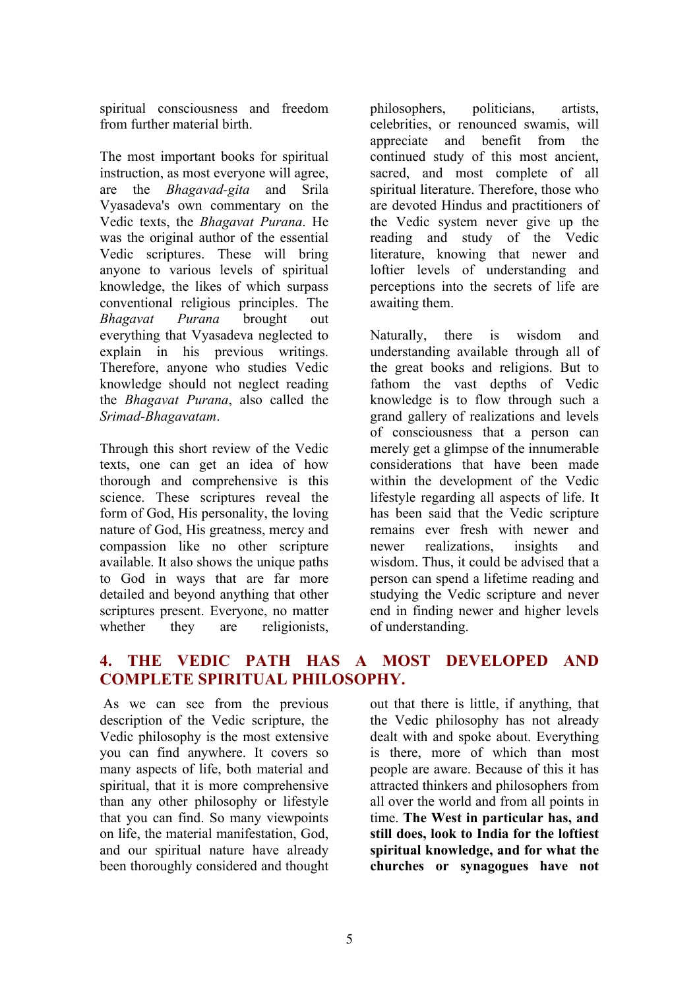spiritual consciousness and freedom from further material birth.

The most important books for spiritual instruction, as most everyone will agree, are the *Bhagavad-gita* and Srila Vyasadeva's own commentary on the Vedic texts, the *Bhagavat Purana*. He was the original author of the essential Vedic scriptures. These will bring anyone to various levels of spiritual knowledge, the likes of which surpass conventional religious principles. The *Bhagavat Purana* brought out everything that Vyasadeva neglected to explain in his previous writings. Therefore, anyone who studies Vedic knowledge should not neglect reading the *Bhagavat Purana*, also called the *Srimad-Bhagavatam*.

Through this short review of the Vedic texts, one can get an idea of how thorough and comprehensive is this science. These scriptures reveal the form of God, His personality, the loving nature of God, His greatness, mercy and compassion like no other scripture available. It also shows the unique paths to God in ways that are far more detailed and beyond anything that other scriptures present. Everyone, no matter whether they are religionists,

philosophers, politicians, artists, celebrities, or renounced swamis, will appreciate and benefit from the continued study of this most ancient, sacred, and most complete of all spiritual literature. Therefore, those who are devoted Hindus and practitioners of the Vedic system never give up the reading and study of the Vedic literature, knowing that newer and loftier levels of understanding and perceptions into the secrets of life are awaiting them.

Naturally, there is wisdom and understanding available through all of the great books and religions. But to fathom the vast depths of Vedic knowledge is to flow through such a grand gallery of realizations and levels of consciousness that a person can merely get a glimpse of the innumerable considerations that have been made within the development of the Vedic lifestyle regarding all aspects of life. It has been said that the Vedic scripture remains ever fresh with newer and newer realizations, insights and wisdom. Thus, it could be advised that a person can spend a lifetime reading and studying the Vedic scripture and never end in finding newer and higher levels of understanding.

# **4. THE VEDIC PATH HAS A MOST DEVELOPED AND COMPLETE SPIRITUAL PHILOSOPHY.**

 As we can see from the previous description of the Vedic scripture, the Vedic philosophy is the most extensive you can find anywhere. It covers so many aspects of life, both material and spiritual, that it is more comprehensive than any other philosophy or lifestyle that you can find. So many viewpoints on life, the material manifestation, God, and our spiritual nature have already been thoroughly considered and thought

out that there is little, if anything, that the Vedic philosophy has not already dealt with and spoke about. Everything is there, more of which than most people are aware. Because of this it has attracted thinkers and philosophers from all over the world and from all points in time. **The West in particular has, and still does, look to India for the loftiest spiritual knowledge, and for what the churches or synagogues have not**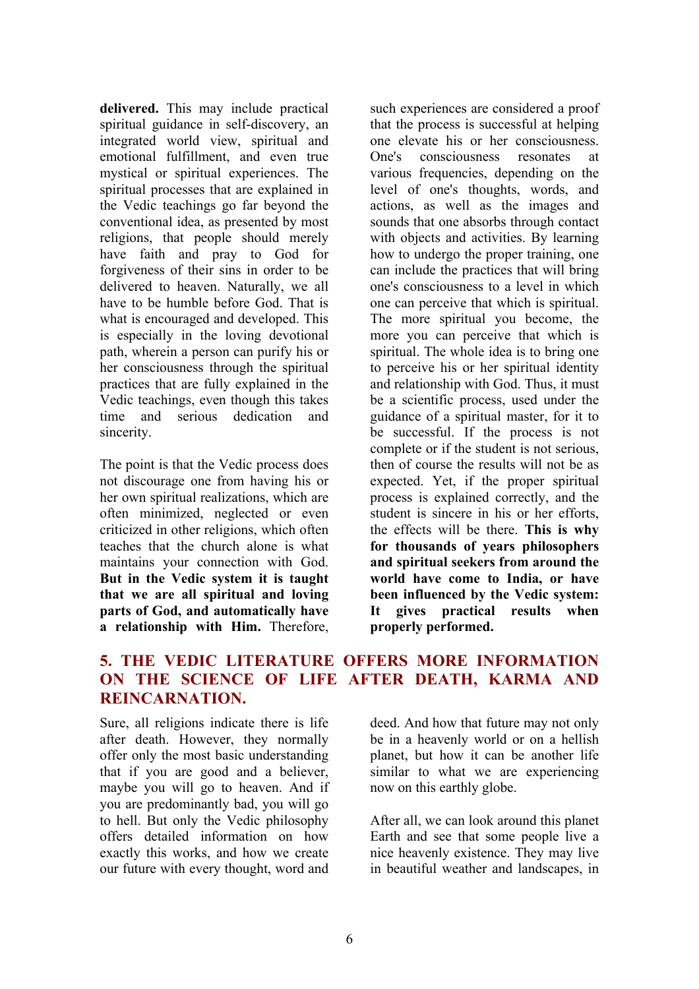**delivered.** This may include practical spiritual guidance in self-discovery, an integrated world view, spiritual and emotional fulfillment, and even true mystical or spiritual experiences. The spiritual processes that are explained in the Vedic teachings go far beyond the conventional idea, as presented by most religions, that people should merely have faith and pray to God for forgiveness of their sins in order to be delivered to heaven. Naturally, we all have to be humble before God. That is what is encouraged and developed. This is especially in the loving devotional path, wherein a person can purify his or her consciousness through the spiritual practices that are fully explained in the Vedic teachings, even though this takes time and serious dedication and sincerity.

The point is that the Vedic process does not discourage one from having his or her own spiritual realizations, which are often minimized, neglected or even criticized in other religions, which often teaches that the church alone is what maintains your connection with God. **But in the Vedic system it is taught that we are all spiritual and loving parts of God, and automatically have a relationship with Him.** Therefore,

such experiences are considered a proof that the process is successful at helping one elevate his or her consciousness. One's consciousness resonates at various frequencies, depending on the level of one's thoughts, words, and actions, as well as the images and sounds that one absorbs through contact with objects and activities. By learning how to undergo the proper training, one can include the practices that will bring one's consciousness to a level in which one can perceive that which is spiritual. The more spiritual you become, the more you can perceive that which is spiritual. The whole idea is to bring one to perceive his or her spiritual identity and relationship with God. Thus, it must be a scientific process, used under the guidance of a spiritual master, for it to be successful. If the process is not complete or if the student is not serious, then of course the results will not be as expected. Yet, if the proper spiritual process is explained correctly, and the student is sincere in his or her efforts, the effects will be there. **This is why for thousands of years philosophers and spiritual seekers from around the world have come to India, or have been influenced by the Vedic system: It gives practical results when properly performed.**

# **5. THE VEDIC LITERATURE OFFERS MORE INFORMATION ON THE SCIENCE OF LIFE AFTER DEATH, KARMA AND REINCARNATION.**

Sure, all religions indicate there is life after death. However, they normally offer only the most basic understanding that if you are good and a believer, maybe you will go to heaven. And if you are predominantly bad, you will go to hell. But only the Vedic philosophy offers detailed information on how exactly this works, and how we create our future with every thought, word and

deed. And how that future may not only be in a heavenly world or on a hellish planet, but how it can be another life similar to what we are experiencing now on this earthly globe.

After all, we can look around this planet Earth and see that some people live a nice heavenly existence. They may live in beautiful weather and landscapes, in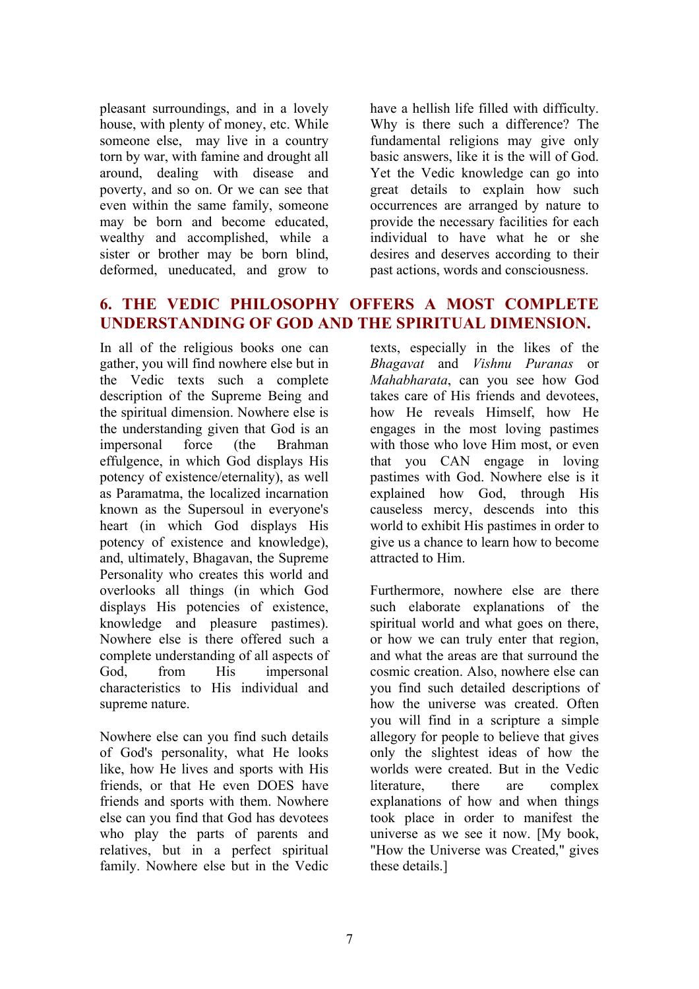pleasant surroundings, and in a lovely house, with plenty of money, etc. While someone else, may live in a country torn by war, with famine and drought all around, dealing with disease and poverty, and so on. Or we can see that even within the same family, someone may be born and become educated, wealthy and accomplished, while a sister or brother may be born blind. deformed, uneducated, and grow to have a hellish life filled with difficulty. Why is there such a difference? The fundamental religions may give only basic answers, like it is the will of God. Yet the Vedic knowledge can go into great details to explain how such occurrences are arranged by nature to provide the necessary facilities for each individual to have what he or she desires and deserves according to their past actions, words and consciousness.

# **6. THE VEDIC PHILOSOPHY OFFERS A MOST COMPLETE UNDERSTANDING OF GOD AND THE SPIRITUAL DIMENSION.**

In all of the religious books one can gather, you will find nowhere else but in the Vedic texts such a complete description of the Supreme Being and the spiritual dimension. Nowhere else is the understanding given that God is an impersonal force (the Brahman effulgence, in which God displays His potency of existence/eternality), as well as Paramatma, the localized incarnation known as the Supersoul in everyone's heart (in which God displays His potency of existence and knowledge), and, ultimately, Bhagavan, the Supreme Personality who creates this world and overlooks all things (in which God displays His potencies of existence, knowledge and pleasure pastimes). Nowhere else is there offered such a complete understanding of all aspects of God, from His impersonal characteristics to His individual and supreme nature.

Nowhere else can you find such details of God's personality, what He looks like, how He lives and sports with His friends, or that He even DOES have friends and sports with them. Nowhere else can you find that God has devotees who play the parts of parents and relatives, but in a perfect spiritual family. Nowhere else but in the Vedic

texts, especially in the likes of the *Bhagavat* and *Vishnu Puranas* or *Mahabharata*, can you see how God takes care of His friends and devotees, how He reveals Himself, how He engages in the most loving pastimes with those who love Him most, or even that you CAN engage in loving pastimes with God. Nowhere else is it explained how God, through His causeless mercy, descends into this world to exhibit His pastimes in order to give us a chance to learn how to become attracted to Him.

Furthermore, nowhere else are there such elaborate explanations of the spiritual world and what goes on there, or how we can truly enter that region, and what the areas are that surround the cosmic creation. Also, nowhere else can you find such detailed descriptions of how the universe was created. Often you will find in a scripture a simple allegory for people to believe that gives only the slightest ideas of how the worlds were created. But in the Vedic literature, there are complex explanations of how and when things took place in order to manifest the universe as we see it now. [My book, "How the Universe was Created," gives these details.]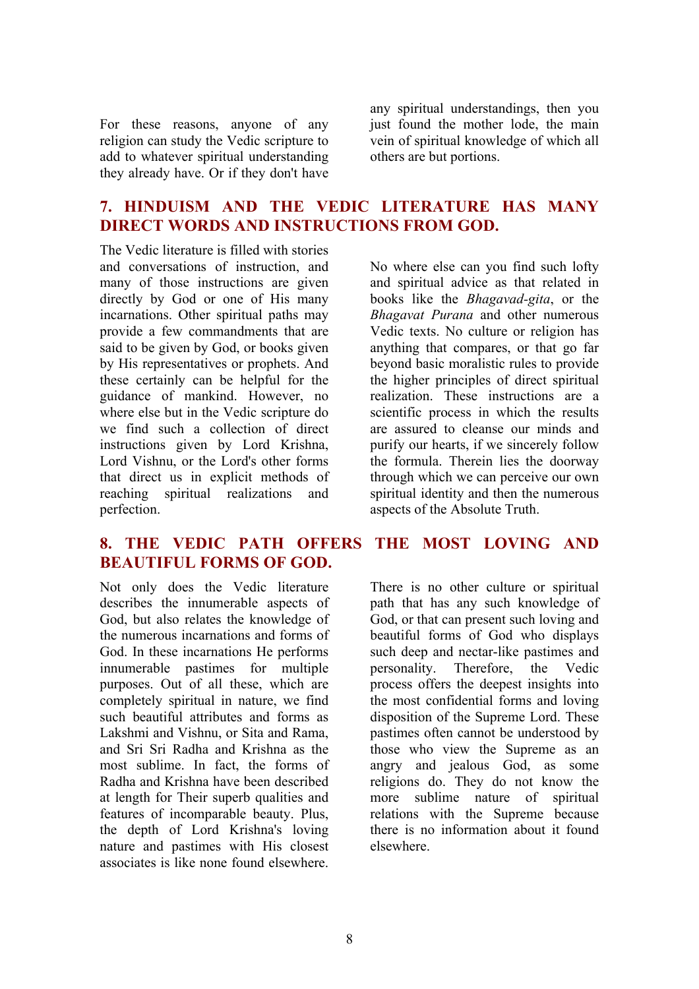For these reasons, anyone of any religion can study the Vedic scripture to add to whatever spiritual understanding they already have. Or if they don't have

any spiritual understandings, then you just found the mother lode, the main vein of spiritual knowledge of which all others are but portions.

#### **7. HINDUISM AND THE VEDIC LITERATURE HAS MANY DIRECT WORDS AND INSTRUCTIONS FROM GOD.**

The Vedic literature is filled with stories and conversations of instruction, and many of those instructions are given directly by God or one of His many incarnations. Other spiritual paths may provide a few commandments that are said to be given by God, or books given by His representatives or prophets. And these certainly can be helpful for the guidance of mankind. However, no where else but in the Vedic scripture do we find such a collection of direct instructions given by Lord Krishna, Lord Vishnu, or the Lord's other forms that direct us in explicit methods of reaching spiritual realizations and perfection.

No where else can you find such lofty and spiritual advice as that related in books like the *Bhagavad-gita*, or the *Bhagavat Purana* and other numerous Vedic texts. No culture or religion has anything that compares, or that go far beyond basic moralistic rules to provide the higher principles of direct spiritual realization. These instructions are a scientific process in which the results are assured to cleanse our minds and purify our hearts, if we sincerely follow the formula. Therein lies the doorway through which we can perceive our own spiritual identity and then the numerous aspects of the Absolute Truth.

# **8. THE VEDIC PATH OFFERS THE MOST LOVING AND BEAUTIFUL FORMS OF GOD.**

Not only does the Vedic literature describes the innumerable aspects of God, but also relates the knowledge of the numerous incarnations and forms of God. In these incarnations He performs innumerable pastimes for multiple purposes. Out of all these, which are completely spiritual in nature, we find such beautiful attributes and forms as Lakshmi and Vishnu, or Sita and Rama and Sri Sri Radha and Krishna as the most sublime. In fact, the forms of Radha and Krishna have been described at length for Their superb qualities and features of incomparable beauty. Plus, the depth of Lord Krishna's loving nature and pastimes with His closest associates is like none found elsewhere.

There is no other culture or spiritual path that has any such knowledge of God, or that can present such loving and beautiful forms of God who displays such deep and nectar-like pastimes and personality. Therefore, the Vedic process offers the deepest insights into the most confidential forms and loving disposition of the Supreme Lord. These pastimes often cannot be understood by those who view the Supreme as an angry and jealous God, as some religions do. They do not know the more sublime nature of spiritual relations with the Supreme because there is no information about it found elsewhere.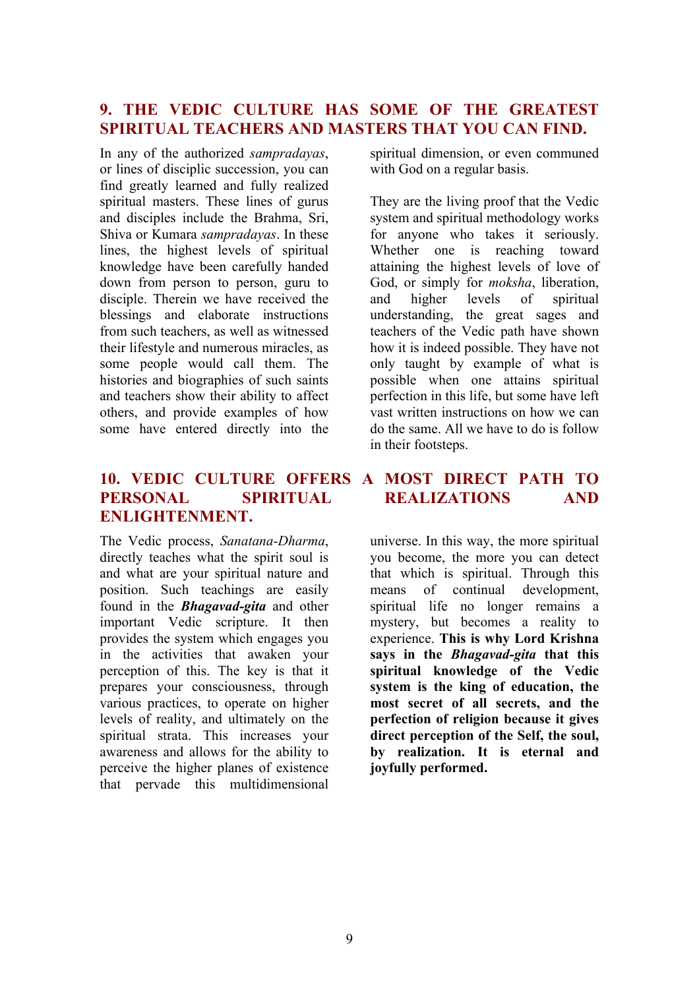# **9. THE VEDIC CULTURE HAS SOME OF THE GREATEST SPIRITUAL TEACHERS AND MASTERS THAT YOU CAN FIND.**

In any of the authorized *sampradayas*, or lines of disciplic succession, you can find greatly learned and fully realized spiritual masters. These lines of gurus and disciples include the Brahma, Sri, Shiva or Kumara *sampradayas*. In these lines, the highest levels of spiritual knowledge have been carefully handed down from person to person, guru to disciple. Therein we have received the blessings and elaborate instructions from such teachers, as well as witnessed their lifestyle and numerous miracles, as some people would call them. The histories and biographies of such saints and teachers show their ability to affect others, and provide examples of how some have entered directly into the

# **10. VEDIC CULTURE OFFERS A MOST DIRECT PATH TO PERSONAL SPIRITUAL REALIZATIONS AND ENLIGHTENMENT.**

The Vedic process, *Sanatana-Dharma*, directly teaches what the spirit soul is and what are your spiritual nature and position. Such teachings are easily found in the *Bhagavad-gita* and other important Vedic scripture. It then provides the system which engages you in the activities that awaken your perception of this. The key is that it prepares your consciousness, through various practices, to operate on higher levels of reality, and ultimately on the spiritual strata. This increases your awareness and allows for the ability to perceive the higher planes of existence that pervade this multidimensional spiritual dimension, or even communed with God on a regular basis.

They are the living proof that the Vedic system and spiritual methodology works for anyone who takes it seriously. Whether one is reaching toward attaining the highest levels of love of God, or simply for *moksha*, liberation, and higher levels of spiritual understanding, the great sages and teachers of the Vedic path have shown how it is indeed possible. They have not only taught by example of what is possible when one attains spiritual perfection in this life, but some have left vast written instructions on how we can do the same. All we have to do is follow in their footsteps.

universe. In this way, the more spiritual you become, the more you can detect that which is spiritual. Through this means of continual development, spiritual life no longer remains a mystery, but becomes a reality to experience. **This is why Lord Krishna says in the** *Bhagavad-gita* **that this spiritual knowledge of the Vedic system is the king of education, the most secret of all secrets, and the perfection of religion because it gives direct perception of the Self, the soul, by realization. It is eternal and joyfully performed.**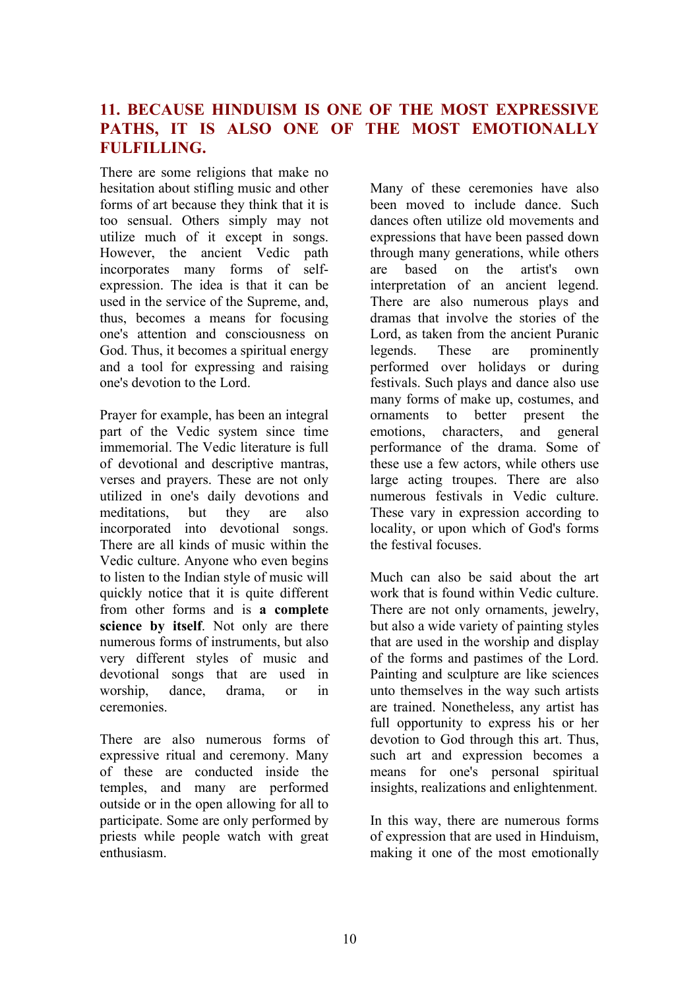# **11. BECAUSE HINDUISM IS ONE OF THE MOST EXPRESSIVE PATHS, IT IS ALSO ONE OF THE MOST EMOTIONALLY FULFILLING.**

There are some religions that make no hesitation about stifling music and other forms of art because they think that it is too sensual. Others simply may not utilize much of it except in songs. However, the ancient Vedic path incorporates many forms of selfexpression. The idea is that it can be used in the service of the Supreme, and, thus, becomes a means for focusing one's attention and consciousness on God. Thus, it becomes a spiritual energy and a tool for expressing and raising one's devotion to the Lord.

Prayer for example, has been an integral part of the Vedic system since time immemorial. The Vedic literature is full of devotional and descriptive mantras, verses and prayers. These are not only utilized in one's daily devotions and meditations, but they are also incorporated into devotional songs. There are all kinds of music within the Vedic culture. Anyone who even begins to listen to the Indian style of music will quickly notice that it is quite different from other forms and is **a complete science by itself**. Not only are there numerous forms of instruments, but also very different styles of music and devotional songs that are used in worship, dance, drama, or in ceremonies.

There are also numerous forms of expressive ritual and ceremony. Many of these are conducted inside the temples, and many are performed outside or in the open allowing for all to participate. Some are only performed by priests while people watch with great enthusiasm.

Many of these ceremonies have also been moved to include dance Such dances often utilize old movements and expressions that have been passed down through many generations, while others are based on the artist's own interpretation of an ancient legend. There are also numerous plays and dramas that involve the stories of the Lord, as taken from the ancient Puranic legends. These are prominently performed over holidays or during festivals. Such plays and dance also use many forms of make up, costumes, and ornaments to better present the emotions, characters, and general performance of the drama. Some of these use a few actors, while others use large acting troupes. There are also numerous festivals in Vedic culture. These vary in expression according to locality, or upon which of God's forms the festival focuses.

Much can also be said about the art work that is found within Vedic culture. There are not only ornaments, jewelry, but also a wide variety of painting styles that are used in the worship and display of the forms and pastimes of the Lord. Painting and sculpture are like sciences unto themselves in the way such artists are trained. Nonetheless, any artist has full opportunity to express his or her devotion to God through this art. Thus, such art and expression becomes a means for one's personal spiritual insights, realizations and enlightenment.

In this way, there are numerous forms of expression that are used in Hinduism, making it one of the most emotionally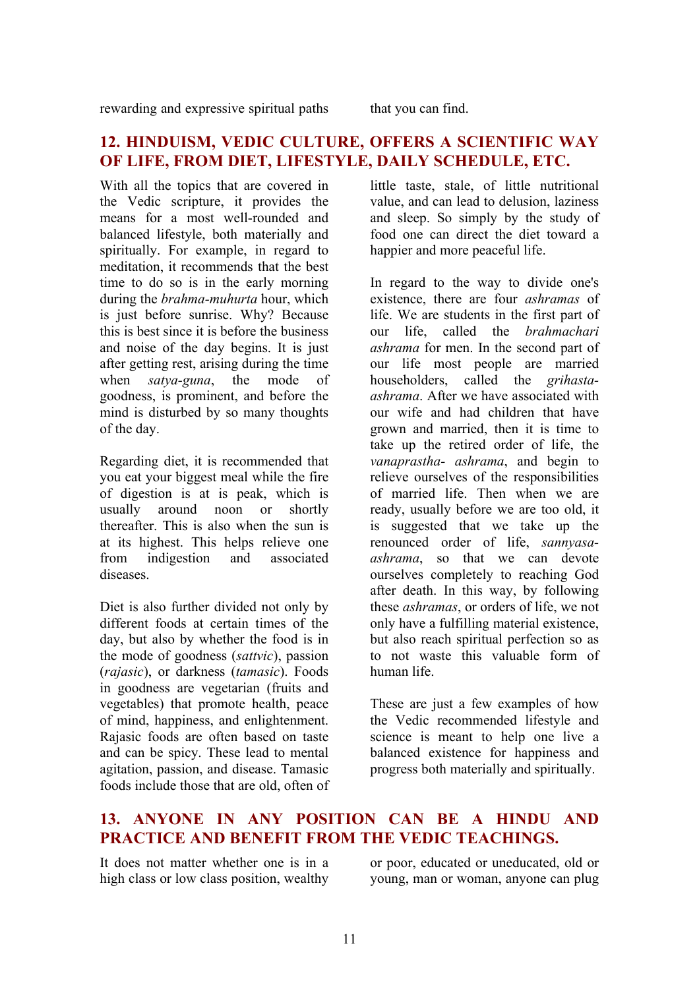rewarding and expressive spiritual paths that you can find.

# **12. HINDUISM, VEDIC CULTURE, OFFERS A SCIENTIFIC WAY OF LIFE, FROM DIET, LIFESTYLE, DAILY SCHEDULE, ETC.**

With all the topics that are covered in the Vedic scripture, it provides the means for a most well-rounded and balanced lifestyle, both materially and spiritually. For example, in regard to meditation, it recommends that the best time to do so is in the early morning during the *brahma-muhurta* hour, which is just before sunrise. Why? Because this is best since it is before the business and noise of the day begins. It is just after getting rest, arising during the time when *satya-guna*, the mode of goodness, is prominent, and before the mind is disturbed by so many thoughts of the day.

Regarding diet, it is recommended that you eat your biggest meal while the fire of digestion is at is peak, which is usually around noon or shortly thereafter. This is also when the sun is at its highest. This helps relieve one from indigestion and associated diseases.

Diet is also further divided not only by different foods at certain times of the day, but also by whether the food is in the mode of goodness (*sattvic*), passion (*rajasic*), or darkness (*tamasic*). Foods in goodness are vegetarian (fruits and vegetables) that promote health, peace of mind, happiness, and enlightenment. Rajasic foods are often based on taste and can be spicy. These lead to mental agitation, passion, and disease. Tamasic foods include those that are old, often of

little taste, stale, of little nutritional value, and can lead to delusion, laziness and sleep. So simply by the study of food one can direct the diet toward a happier and more peaceful life.

In regard to the way to divide one's existence, there are four *ashramas* of life. We are students in the first part of our life, called the *brahmachari ashrama* for men. In the second part of our life most people are married householders, called the *grihastaashrama*. After we have associated with our wife and had children that have grown and married, then it is time to take up the retired order of life, the *vanaprastha- ashrama*, and begin to relieve ourselves of the responsibilities of married life. Then when we are ready, usually before we are too old, it is suggested that we take up the renounced order of life, *sannyasaashrama*, so that we can devote ourselves completely to reaching God after death. In this way, by following these *ashramas*, or orders of life, we not only have a fulfilling material existence, but also reach spiritual perfection so as to not waste this valuable form of human life.

These are just a few examples of how the Vedic recommended lifestyle and science is meant to help one live a balanced existence for happiness and progress both materially and spiritually.

# **13. ANYONE IN ANY POSITION CAN BE A HINDU AND PRACTICE AND BENEFIT FROM THE VEDIC TEACHINGS.**

It does not matter whether one is in a high class or low class position, wealthy

or poor, educated or uneducated, old or young, man or woman, anyone can plug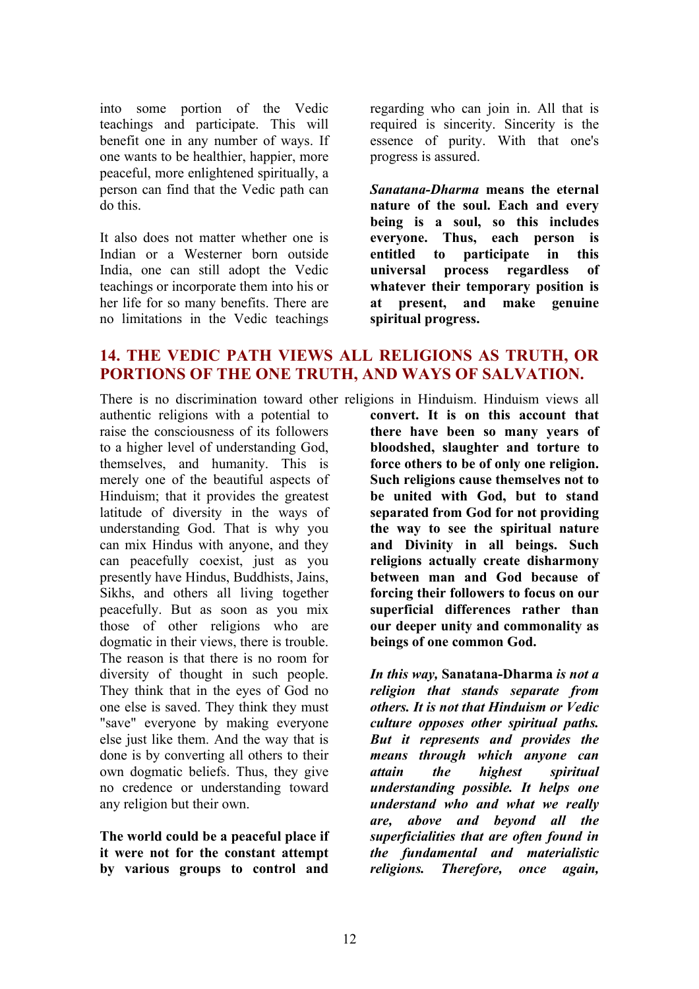into some portion of the Vedic teachings and participate. This will benefit one in any number of ways. If one wants to be healthier, happier, more peaceful, more enlightened spiritually, a person can find that the Vedic path can do this.

It also does not matter whether one is Indian or a Westerner born outside India, one can still adopt the Vedic teachings or incorporate them into his or her life for so many benefits. There are no limitations in the Vedic teachings

regarding who can join in. All that is required is sincerity. Sincerity is the essence of purity. With that one's progress is assured.

*Sanatana-Dharma* **means the eternal nature of the soul. Each and every being is a soul, so this includes everyone. Thus, each person is entitled to participate in this universal process regardless of whatever their temporary position is at present, and make genuine spiritual progress.**

#### **14. THE VEDIC PATH VIEWS ALL RELIGIONS AS TRUTH, OR PORTIONS OF THE ONE TRUTH, AND WAYS OF SALVATION.**

There is no discrimination toward other religions in Hinduism. Hinduism views all authentic religions with a potential to raise the consciousness of its followers to a higher level of understanding God, themselves, and humanity. This is merely one of the beautiful aspects of Hinduism; that it provides the greatest latitude of diversity in the ways of understanding God. That is why you can mix Hindus with anyone, and they can peacefully coexist, just as you presently have Hindus, Buddhists, Jains, Sikhs, and others all living together peacefully. But as soon as you mix those of other religions who are dogmatic in their views, there is trouble. The reason is that there is no room for diversity of thought in such people. They think that in the eyes of God no one else is saved. They think they must "save" everyone by making everyone else just like them. And the way that is done is by converting all others to their own dogmatic beliefs. Thus, they give no credence or understanding toward any religion but their own.

**The world could be a peaceful place if it were not for the constant attempt by various groups to control and** 

**convert. It is on this account that there have been so many years of bloodshed, slaughter and torture to force others to be of only one religion. Such religions cause themselves not to be united with God, but to stand separated from God for not providing the way to see the spiritual nature and Divinity in all beings. Such religions actually create disharmony between man and God because of forcing their followers to focus on our superficial differences rather than our deeper unity and commonality as beings of one common God.**

*In this way,* **Sanatana-Dharma** *is not a religion that stands separate from others. It is not that Hinduism or Vedic culture opposes other spiritual paths. But it represents and provides the means through which anyone can attain the highest spiritual understanding possible. It helps one understand who and what we really are, above and beyond all the superficialities that are often found in the fundamental and materialistic religions. Therefore, once again,*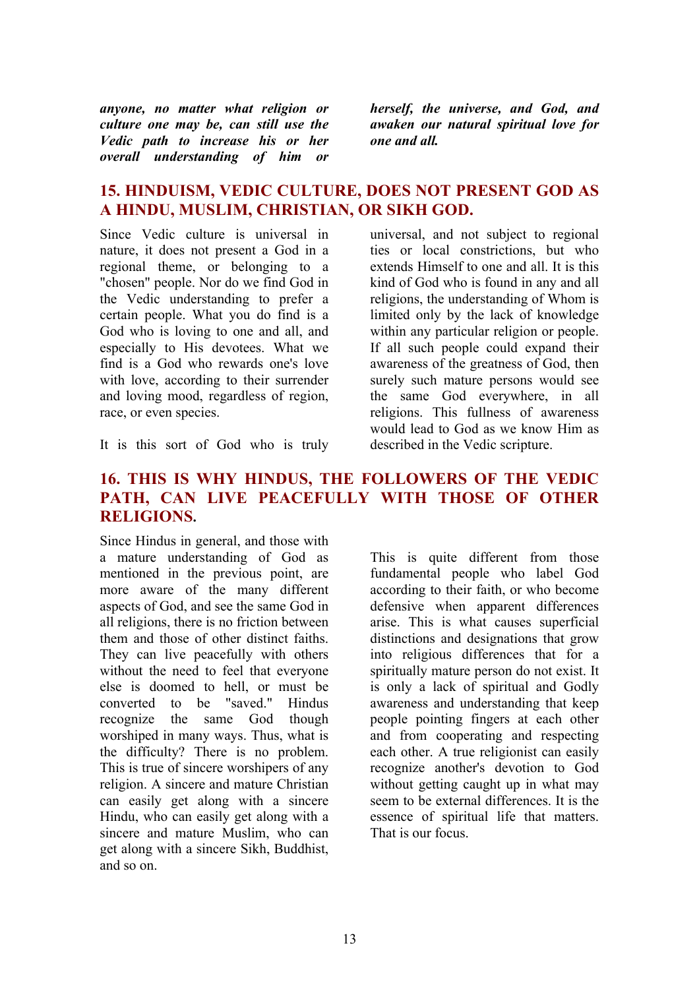*anyone, no matter what religion or culture one may be, can still use the Vedic path to increase his or her overall understanding of him or*  *herself, the universe, and God, and awaken our natural spiritual love for one and all.*

#### **15. HINDUISM, VEDIC CULTURE, DOES NOT PRESENT GOD AS A HINDU, MUSLIM, CHRISTIAN, OR SIKH GOD.**

Since Vedic culture is universal in nature, it does not present a God in a regional theme, or belonging to a "chosen" people. Nor do we find God in the Vedic understanding to prefer a certain people. What you do find is a God who is loving to one and all, and especially to His devotees. What we find is a God who rewards one's love with love, according to their surrender and loving mood, regardless of region, race, or even species.

It is this sort of God who is truly

universal, and not subject to regional ties or local constrictions, but who extends Himself to one and all. It is this kind of God who is found in any and all religions, the understanding of Whom is limited only by the lack of knowledge within any particular religion or people. If all such people could expand their awareness of the greatness of God, then surely such mature persons would see the same God everywhere, in all religions. This fullness of awareness would lead to God as we know Him as described in the Vedic scripture.

# **16. THIS IS WHY HINDUS, THE FOLLOWERS OF THE VEDIC PATH, CAN LIVE PEACEFULLY WITH THOSE OF OTHER RELIGIONS.**

Since Hindus in general, and those with a mature understanding of God as mentioned in the previous point, are more aware of the many different aspects of God, and see the same God in all religions, there is no friction between them and those of other distinct faiths. They can live peacefully with others without the need to feel that everyone else is doomed to hell, or must be converted to be "saved." Hindus recognize the same God though worshiped in many ways. Thus, what is the difficulty? There is no problem. This is true of sincere worshipers of any religion. A sincere and mature Christian can easily get along with a sincere Hindu, who can easily get along with a sincere and mature Muslim, who can get along with a sincere Sikh, Buddhist, and so on.

This is quite different from those fundamental people who label God according to their faith, or who become defensive when apparent differences arise. This is what causes superficial distinctions and designations that grow into religious differences that for a spiritually mature person do not exist. It is only a lack of spiritual and Godly awareness and understanding that keep people pointing fingers at each other and from cooperating and respecting each other. A true religionist can easily recognize another's devotion to God without getting caught up in what may seem to be external differences. It is the essence of spiritual life that matters. That is our focus.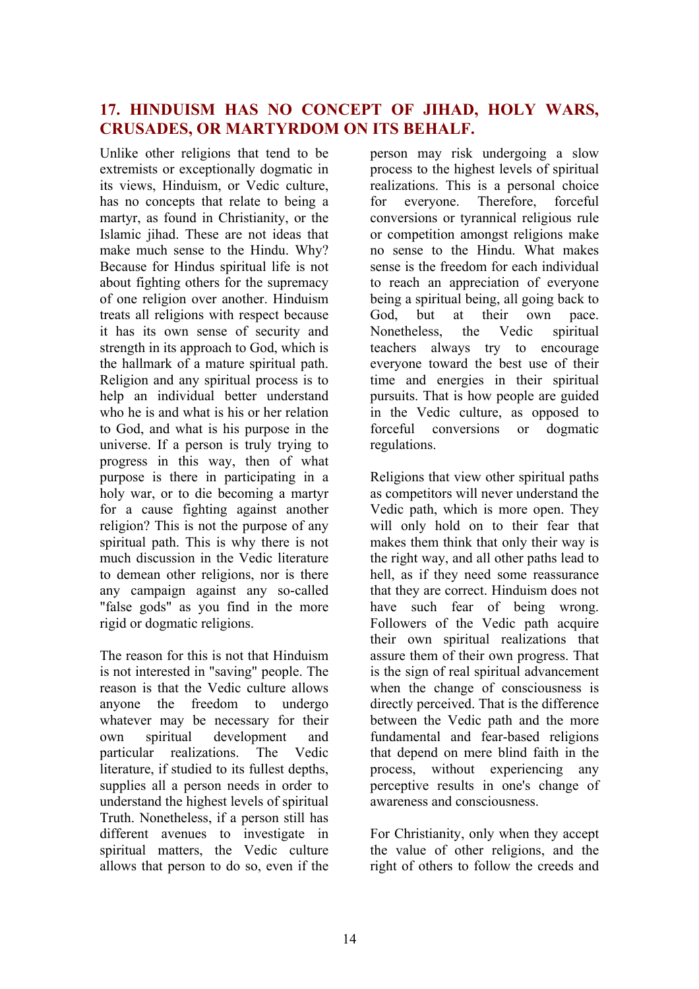# **17. HINDUISM HAS NO CONCEPT OF JIHAD, HOLY WARS, CRUSADES, OR MARTYRDOM ON ITS BEHALF.**

Unlike other religions that tend to be extremists or exceptionally dogmatic in its views, Hinduism, or Vedic culture, has no concepts that relate to being a martyr, as found in Christianity, or the Islamic jihad. These are not ideas that make much sense to the Hindu. Why? Because for Hindus spiritual life is not about fighting others for the supremacy of one religion over another. Hinduism treats all religions with respect because it has its own sense of security and strength in its approach to God, which is the hallmark of a mature spiritual path. Religion and any spiritual process is to help an individual better understand who he is and what is his or her relation to God, and what is his purpose in the universe. If a person is truly trying to progress in this way, then of what purpose is there in participating in a holy war, or to die becoming a martyr for a cause fighting against another religion? This is not the purpose of any spiritual path. This is why there is not much discussion in the Vedic literature to demean other religions, nor is there any campaign against any so-called "false gods" as you find in the more rigid or dogmatic religions.

The reason for this is not that Hinduism is not interested in "saving" people. The reason is that the Vedic culture allows anyone the freedom to undergo whatever may be necessary for their own spiritual development and particular realizations. The Vedic literature, if studied to its fullest depths, supplies all a person needs in order to understand the highest levels of spiritual Truth. Nonetheless, if a person still has different avenues to investigate in spiritual matters, the Vedic culture allows that person to do so, even if the person may risk undergoing a slow process to the highest levels of spiritual realizations. This is a personal choice for everyone. Therefore, forceful conversions or tyrannical religious rule or competition amongst religions make no sense to the Hindu. What makes sense is the freedom for each individual to reach an appreciation of everyone being a spiritual being, all going back to God, but at their own pace. Nonetheless, the Vedic spiritual teachers always try to encourage everyone toward the best use of their time and energies in their spiritual pursuits. That is how people are guided in the Vedic culture, as opposed to forceful conversions or dogmatic regulations.

Religions that view other spiritual paths as competitors will never understand the Vedic path, which is more open. They will only hold on to their fear that makes them think that only their way is the right way, and all other paths lead to hell, as if they need some reassurance that they are correct. Hinduism does not have such fear of being wrong. Followers of the Vedic path acquire their own spiritual realizations that assure them of their own progress. That is the sign of real spiritual advancement when the change of consciousness is directly perceived. That is the difference between the Vedic path and the more fundamental and fear-based religions that depend on mere blind faith in the process, without experiencing any perceptive results in one's change of awareness and consciousness.

For Christianity, only when they accept the value of other religions, and the right of others to follow the creeds and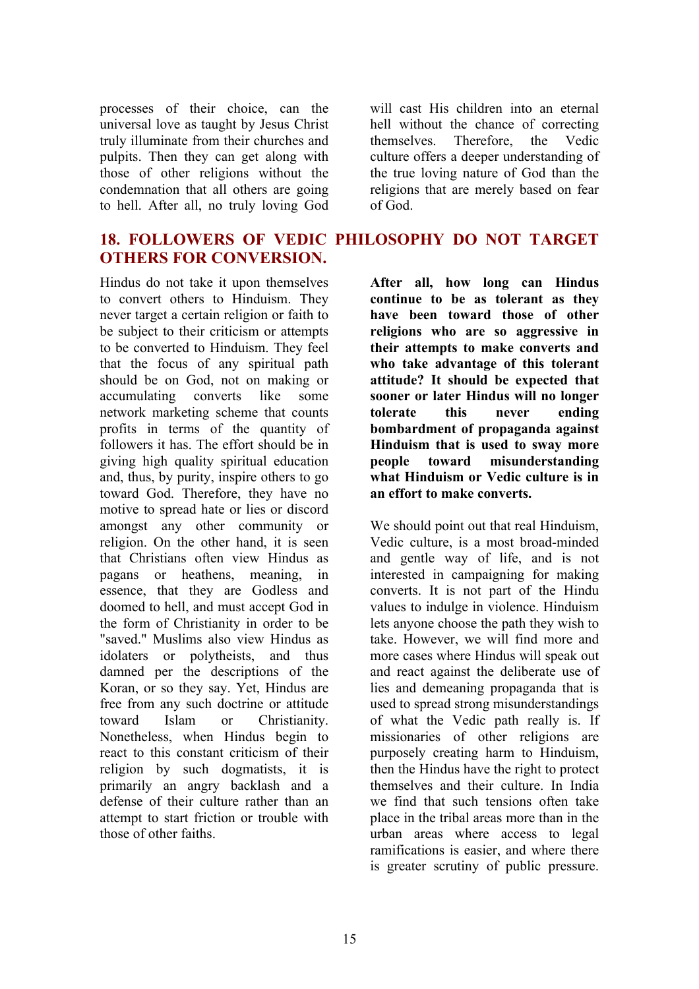processes of their choice, can the universal love as taught by Jesus Christ truly illuminate from their churches and pulpits. Then they can get along with those of other religions without the condemnation that all others are going to hell. After all, no truly loving God

# **18. FOLLOWERS OF VEDIC PHILOSOPHY DO NOT TARGET OTHERS FOR CONVERSION.**

of God.

Hindus do not take it upon themselves to convert others to Hinduism. They never target a certain religion or faith to be subject to their criticism or attempts to be converted to Hinduism. They feel that the focus of any spiritual path should be on God, not on making or accumulating converts like some network marketing scheme that counts profits in terms of the quantity of followers it has. The effort should be in giving high quality spiritual education and, thus, by purity, inspire others to go toward God. Therefore, they have no motive to spread hate or lies or discord amongst any other community or religion. On the other hand, it is seen that Christians often view Hindus as pagans or heathens, meaning, in essence, that they are Godless and doomed to hell, and must accept God in the form of Christianity in order to be "saved." Muslims also view Hindus as idolaters or polytheists, and thus damned per the descriptions of the Koran, or so they say. Yet, Hindus are free from any such doctrine or attitude toward Islam or Christianity. Nonetheless, when Hindus begin to react to this constant criticism of their religion by such dogmatists, it is primarily an angry backlash and a defense of their culture rather than an attempt to start friction or trouble with those of other faiths.

**After all, how long can Hindus continue to be as tolerant as they have been toward those of other religions who are so aggressive in their attempts to make converts and who take advantage of this tolerant attitude? It should be expected that sooner or later Hindus will no longer tolerate this never ending bombardment of propaganda against Hinduism that is used to sway more people toward misunderstanding what Hinduism or Vedic culture is in an effort to make converts.**

will cast His children into an eternal hell without the chance of correcting themselves. Therefore, the Vedic culture offers a deeper understanding of the true loving nature of God than the religions that are merely based on fear

We should point out that real Hinduism, Vedic culture, is a most broad-minded and gentle way of life, and is not interested in campaigning for making converts. It is not part of the Hindu values to indulge in violence. Hinduism lets anyone choose the path they wish to take. However, we will find more and more cases where Hindus will speak out and react against the deliberate use of lies and demeaning propaganda that is used to spread strong misunderstandings of what the Vedic path really is. If missionaries of other religions are purposely creating harm to Hinduism, then the Hindus have the right to protect themselves and their culture. In India we find that such tensions often take place in the tribal areas more than in the urban areas where access to legal ramifications is easier, and where there is greater scrutiny of public pressure.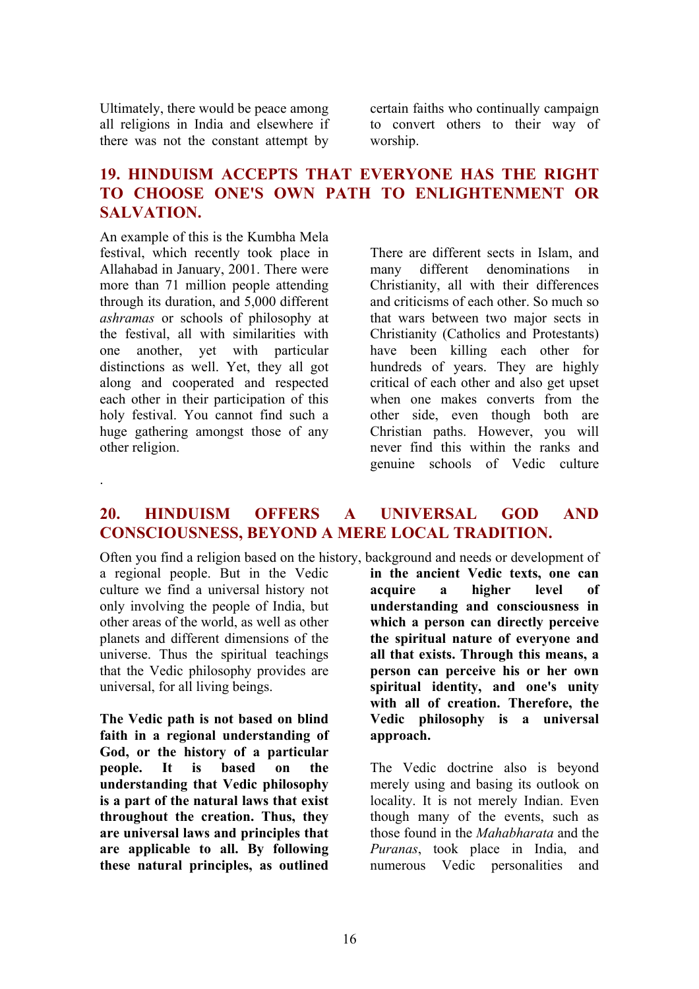Ultimately, there would be peace among all religions in India and elsewhere if there was not the constant attempt by

certain faiths who continually campaign to convert others to their way of worship.

# **19. HINDUISM ACCEPTS THAT EVERYONE HAS THE RIGHT TO CHOOSE ONE'S OWN PATH TO ENLIGHTENMENT OR SALVATION.**

An example of this is the Kumbha Mela festival, which recently took place in Allahabad in January, 2001. There were more than 71 million people attending through its duration, and 5,000 different *ashramas* or schools of philosophy at the festival, all with similarities with one another, yet with particular distinctions as well. Yet, they all got along and cooperated and respected each other in their participation of this holy festival. You cannot find such a huge gathering amongst those of any other religion.

There are different sects in Islam, and many different denominations in Christianity, all with their differences and criticisms of each other. So much so that wars between two major sects in Christianity (Catholics and Protestants) have been killing each other for hundreds of years. They are highly critical of each other and also get upset when one makes converts from the other side, even though both are Christian paths. However, you will never find this within the ranks and genuine schools of Vedic culture

#### **20. HINDUISM OFFERS A UNIVERSAL GOD AND CONSCIOUSNESS, BEYOND A MERE LOCAL TRADITION.**

Often you find a religion based on the history, background and needs or development of a regional people. But in the Vedic culture we find a universal history not only involving the people of India, but other areas of the world, as well as other planets and different dimensions of the universe. Thus the spiritual teachings that the Vedic philosophy provides are universal, for all living beings.

.

**The Vedic path is not based on blind faith in a regional understanding of God, or the history of a particular people. It is based on the understanding that Vedic philosophy is a part of the natural laws that exist throughout the creation. Thus, they are universal laws and principles that are applicable to all. By following these natural principles, as outlined** 

**in the ancient Vedic texts, one can acquire a higher level of understanding and consciousness in which a person can directly perceive the spiritual nature of everyone and all that exists. Through this means, a person can perceive his or her own spiritual identity, and one's unity with all of creation. Therefore, the Vedic philosophy is a universal approach.**

The Vedic doctrine also is beyond merely using and basing its outlook on locality. It is not merely Indian. Even though many of the events, such as those found in the *Mahabharata* and the *Puranas*, took place in India, and numerous Vedic personalities and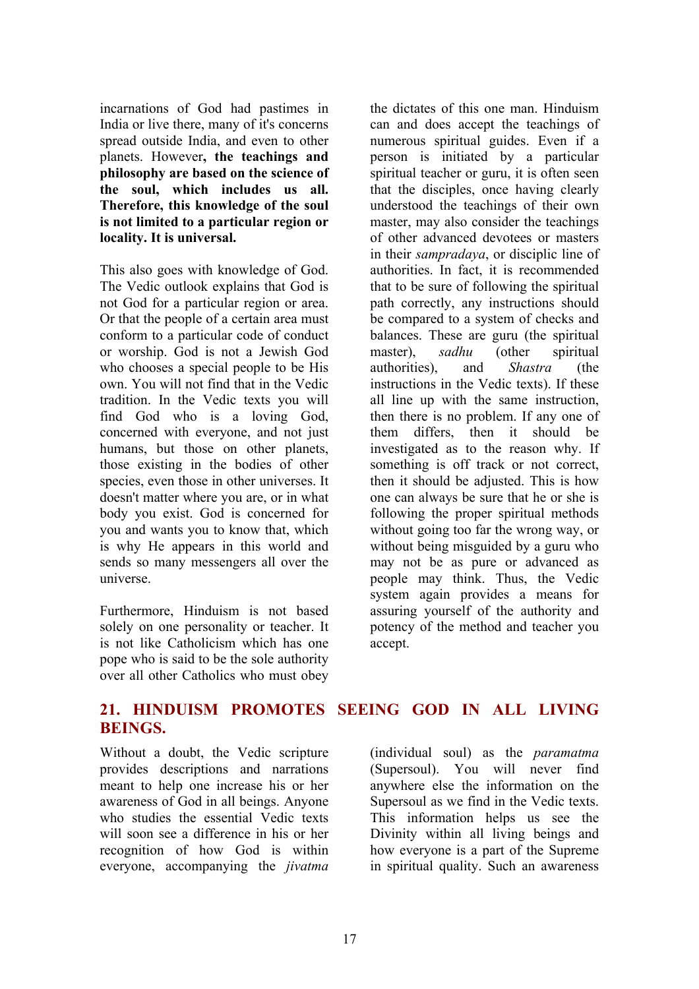incarnations of God had pastimes in India or live there, many of it's concerns spread outside India, and even to other planets. However**, the teachings and philosophy are based on the science of the soul, which includes us all. Therefore, this knowledge of the soul is not limited to a particular region or locality. It is universal.**

This also goes with knowledge of God. The Vedic outlook explains that God is not God for a particular region or area. Or that the people of a certain area must conform to a particular code of conduct or worship. God is not a Jewish God who chooses a special people to be His own. You will not find that in the Vedic tradition. In the Vedic texts you will find God who is a loving God, concerned with everyone, and not just humans, but those on other planets, those existing in the bodies of other species, even those in other universes. It doesn't matter where you are, or in what body you exist. God is concerned for you and wants you to know that, which is why He appears in this world and sends so many messengers all over the universe.

Furthermore, Hinduism is not based solely on one personality or teacher. It is not like Catholicism which has one pope who is said to be the sole authority over all other Catholics who must obey

the dictates of this one man. Hinduism can and does accept the teachings of numerous spiritual guides. Even if a person is initiated by a particular spiritual teacher or guru, it is often seen that the disciples, once having clearly understood the teachings of their own master, may also consider the teachings of other advanced devotees or masters in their *sampradaya*, or disciplic line of authorities. In fact, it is recommended that to be sure of following the spiritual path correctly, any instructions should be compared to a system of checks and balances. These are guru (the spiritual master), *sadhu* (other spiritual authorities), and *Shastra* (the instructions in the Vedic texts). If these all line up with the same instruction, then there is no problem. If any one of them differs, then it should be investigated as to the reason why. If something is off track or not correct, then it should be adjusted. This is how one can always be sure that he or she is following the proper spiritual methods without going too far the wrong way, or without being misguided by a guru who may not be as pure or advanced as people may think. Thus, the Vedic system again provides a means for assuring yourself of the authority and potency of the method and teacher you accept.

# **21. HINDUISM PROMOTES SEEING GOD IN ALL LIVING BEINGS.**

Without a doubt, the Vedic scripture provides descriptions and narrations meant to help one increase his or her awareness of God in all beings. Anyone who studies the essential Vedic texts will soon see a difference in his or her recognition of how God is within everyone, accompanying the *jivatma*

(individual soul) as the *paramatma* (Supersoul). You will never find anywhere else the information on the Supersoul as we find in the Vedic texts. This information helps us see the Divinity within all living beings and how everyone is a part of the Supreme in spiritual quality. Such an awareness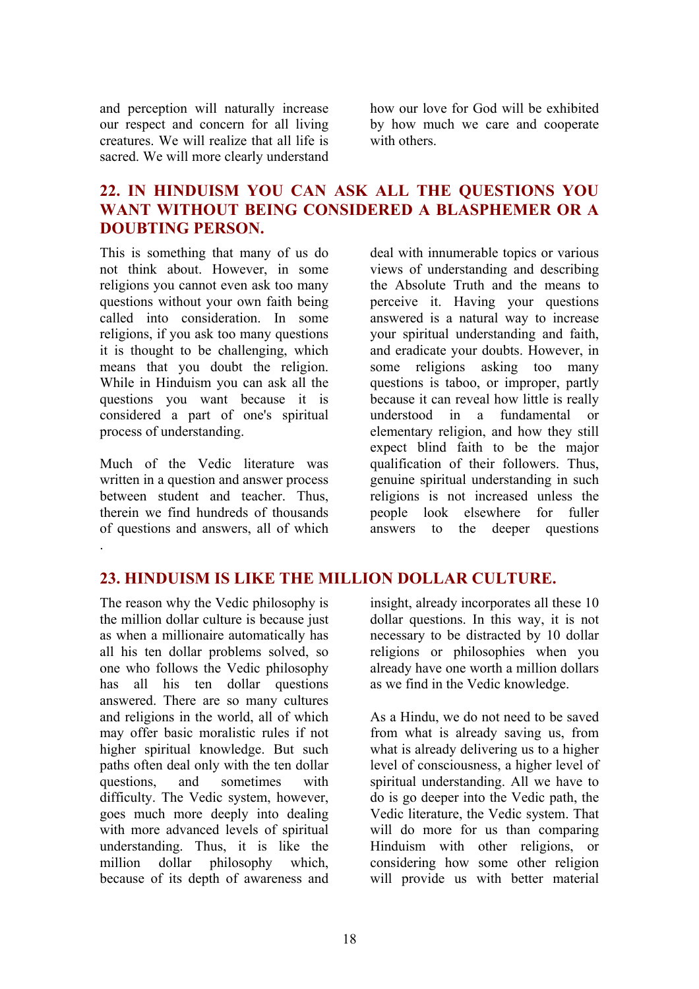and perception will naturally increase our respect and concern for all living creatures. We will realize that all life is sacred. We will more clearly understand

how our love for God will be exhibited by how much we care and cooperate with others.

# **22. IN HINDUISM YOU CAN ASK ALL THE QUESTIONS YOU WANT WITHOUT BEING CONSIDERED A BLASPHEMER OR A DOUBTING PERSON.**

This is something that many of us do not think about. However, in some religions you cannot even ask too many questions without your own faith being called into consideration. In some religions, if you ask too many questions it is thought to be challenging, which means that you doubt the religion. While in Hinduism you can ask all the questions you want because it is considered a part of one's spiritual process of understanding.

Much of the Vedic literature was written in a question and answer process between student and teacher. Thus, therein we find hundreds of thousands of questions and answers, all of which .

deal with innumerable topics or various views of understanding and describing the Absolute Truth and the means to perceive it. Having your questions answered is a natural way to increase your spiritual understanding and faith, and eradicate your doubts. However, in some religions asking too many questions is taboo, or improper, partly because it can reveal how little is really understood in a fundamental or elementary religion, and how they still expect blind faith to be the major qualification of their followers. Thus, genuine spiritual understanding in such religions is not increased unless the people look elsewhere for fuller answers to the deeper questions

# **23. HINDUISM IS LIKE THE MILLION DOLLAR CULTURE.**

The reason why the Vedic philosophy is the million dollar culture is because just as when a millionaire automatically has all his ten dollar problems solved, so one who follows the Vedic philosophy has all his ten dollar questions answered. There are so many cultures and religions in the world, all of which may offer basic moralistic rules if not higher spiritual knowledge. But such paths often deal only with the ten dollar questions, and sometimes with difficulty. The Vedic system, however, goes much more deeply into dealing with more advanced levels of spiritual understanding. Thus, it is like the million dollar philosophy which, because of its depth of awareness and

insight, already incorporates all these 10 dollar questions. In this way, it is not necessary to be distracted by 10 dollar religions or philosophies when you already have one worth a million dollars as we find in the Vedic knowledge.

As a Hindu, we do not need to be saved from what is already saving us, from what is already delivering us to a higher level of consciousness, a higher level of spiritual understanding. All we have to do is go deeper into the Vedic path, the Vedic literature, the Vedic system. That will do more for us than comparing Hinduism with other religions, or considering how some other religion will provide us with better material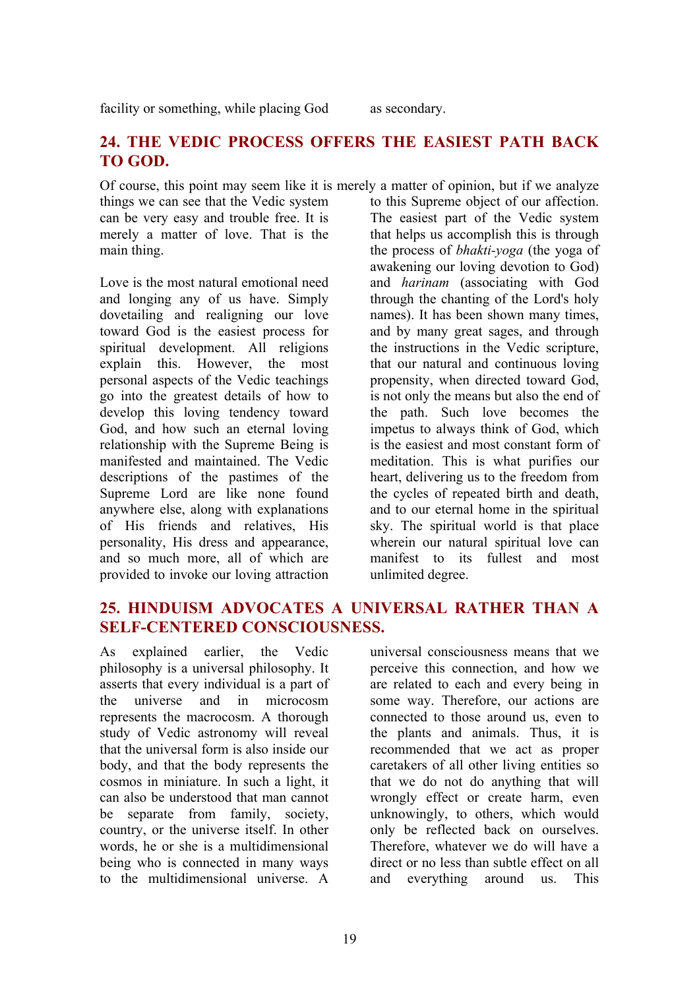facility or something, while placing God as secondary.

# **24. THE VEDIC PROCESS OFFERS THE EASIEST PATH BACK TO GOD.**

Of course, this point may seem like it is merely a matter of opinion, but if we analyze

things we can see that the Vedic system can be very easy and trouble free. It is merely a matter of love. That is the main thing.

Love is the most natural emotional need and longing any of us have. Simply dovetailing and realigning our love toward God is the easiest process for spiritual development. All religions explain this. However, the most personal aspects of the Vedic teachings go into the greatest details of how to develop this loving tendency toward God, and how such an eternal loving relationship with the Supreme Being is manifested and maintained. The Vedic descriptions of the pastimes of the Supreme Lord are like none found anywhere else, along with explanations of His friends and relatives, His personality, His dress and appearance, and so much more, all of which are provided to invoke our loving attraction

to this Supreme object of our affection. The easiest part of the Vedic system that helps us accomplish this is through the process of *bhakti-yoga* (the yoga of awakening our loving devotion to God) and *harinam* (associating with God through the chanting of the Lord's holy names). It has been shown many times, and by many great sages, and through the instructions in the Vedic scripture, that our natural and continuous loving propensity, when directed toward God, is not only the means but also the end of the path. Such love becomes the impetus to always think of God, which is the easiest and most constant form of meditation. This is what purifies our heart, delivering us to the freedom from the cycles of repeated birth and death, and to our eternal home in the spiritual sky. The spiritual world is that place wherein our natural spiritual love can manifest to its fullest and most unlimited degree.

# **25. HINDUISM ADVOCATES A UNIVERSAL RATHER THAN A SELF-CENTERED CONSCIOUSNESS.**

As explained earlier, the Vedic philosophy is a universal philosophy. It asserts that every individual is a part of the universe and in microcosm represents the macrocosm. A thorough study of Vedic astronomy will reveal that the universal form is also inside our body, and that the body represents the cosmos in miniature. In such a light, it can also be understood that man cannot be separate from family, society, country, or the universe itself. In other words, he or she is a multidimensional being who is connected in many ways to the multidimensional universe. A

universal consciousness means that we perceive this connection, and how we are related to each and every being in some way. Therefore, our actions are connected to those around us, even to the plants and animals. Thus, it is recommended that we act as proper caretakers of all other living entities so that we do not do anything that will wrongly effect or create harm, even unknowingly, to others, which would only be reflected back on ourselves. Therefore, whatever we do will have a direct or no less than subtle effect on all and everything around us. This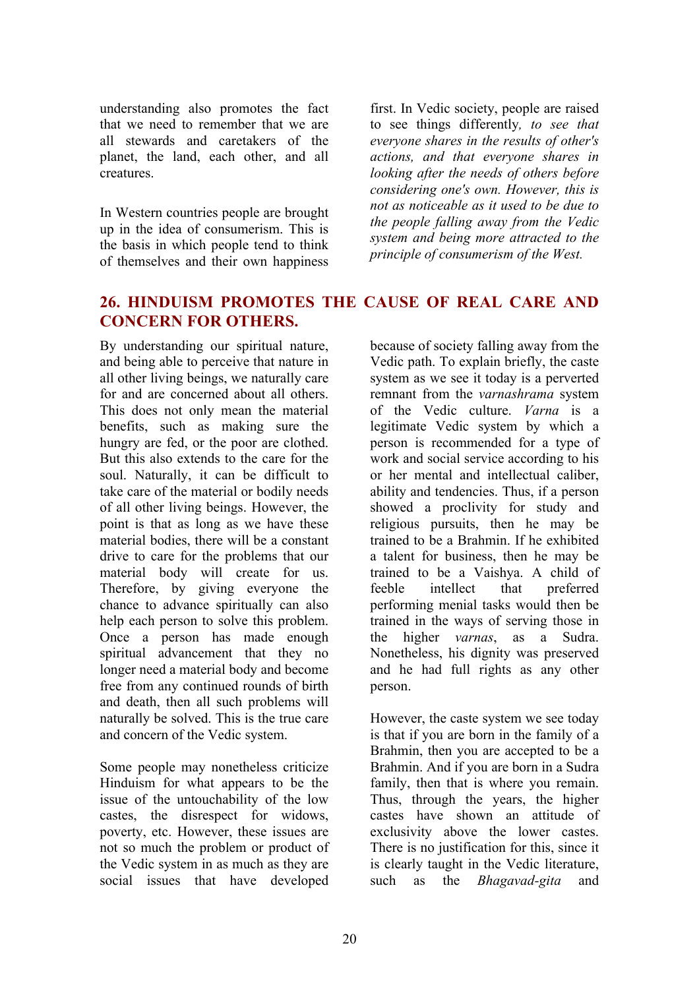understanding also promotes the fact that we need to remember that we are all stewards and caretakers of the planet, the land, each other, and all creatures.

In Western countries people are brought up in the idea of consumerism. This is the basis in which people tend to think of themselves and their own happiness

first. In Vedic society, people are raised to see things differently*, to see that everyone shares in the results of other's actions, and that everyone shares in looking after the needs of others before considering one's own. However, this is not as noticeable as it used to be due to the people falling away from the Vedic system and being more attracted to the principle of consumerism of the West.*

# **26. HINDUISM PROMOTES THE CAUSE OF REAL CARE AND CONCERN FOR OTHERS.**

By understanding our spiritual nature, and being able to perceive that nature in all other living beings, we naturally care for and are concerned about all others. This does not only mean the material benefits, such as making sure the hungry are fed, or the poor are clothed. But this also extends to the care for the soul. Naturally, it can be difficult to take care of the material or bodily needs of all other living beings. However, the point is that as long as we have these material bodies, there will be a constant drive to care for the problems that our material body will create for us. Therefore, by giving everyone the chance to advance spiritually can also help each person to solve this problem. Once a person has made enough spiritual advancement that they no longer need a material body and become free from any continued rounds of birth and death, then all such problems will naturally be solved. This is the true care and concern of the Vedic system.

Some people may nonetheless criticize Hinduism for what appears to be the issue of the untouchability of the low castes, the disrespect for widows, poverty, etc. However, these issues are not so much the problem or product of the Vedic system in as much as they are social issues that have developed

because of society falling away from the Vedic path. To explain briefly, the caste system as we see it today is a perverted remnant from the *varnashrama* system of the Vedic culture. *Varna* is a legitimate Vedic system by which a person is recommended for a type of work and social service according to his or her mental and intellectual caliber, ability and tendencies. Thus, if a person showed a proclivity for study and religious pursuits, then he may be trained to be a Brahmin. If he exhibited a talent for business, then he may be trained to be a Vaishya. A child of feeble intellect that preferred performing menial tasks would then be trained in the ways of serving those in the higher *varnas*, as a Sudra. Nonetheless, his dignity was preserved and he had full rights as any other person.

However, the caste system we see today is that if you are born in the family of a Brahmin, then you are accepted to be a Brahmin. And if you are born in a Sudra family, then that is where you remain. Thus, through the years, the higher castes have shown an attitude of exclusivity above the lower castes. There is no justification for this, since it is clearly taught in the Vedic literature, such as the *Bhagavad-gita* and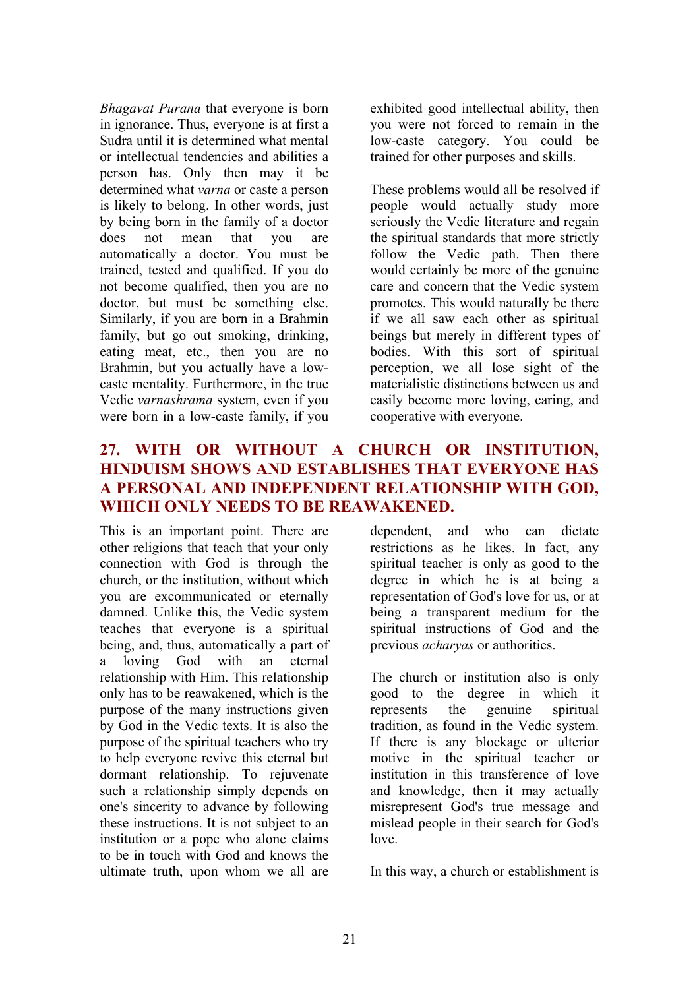*Bhagavat Purana* that everyone is born in ignorance. Thus, everyone is at first a Sudra until it is determined what mental or intellectual tendencies and abilities a person has. Only then may it be determined what *varna* or caste a person is likely to belong. In other words, just by being born in the family of a doctor does not mean that you are automatically a doctor. You must be trained, tested and qualified. If you do not become qualified, then you are no doctor, but must be something else. Similarly, if you are born in a Brahmin family, but go out smoking, drinking, eating meat, etc., then you are no Brahmin, but you actually have a lowcaste mentality. Furthermore, in the true Vedic *varnashrama* system, even if you were born in a low-caste family, if you

exhibited good intellectual ability, then you were not forced to remain in the low-caste category. You could be trained for other purposes and skills.

These problems would all be resolved if people would actually study more seriously the Vedic literature and regain the spiritual standards that more strictly follow the Vedic path. Then there would certainly be more of the genuine care and concern that the Vedic system promotes. This would naturally be there if we all saw each other as spiritual beings but merely in different types of bodies. With this sort of spiritual perception, we all lose sight of the materialistic distinctions between us and easily become more loving, caring, and cooperative with everyone.

# **27. WITH OR WITHOUT A CHURCH OR INSTITUTION, HINDUISM SHOWS AND ESTABLISHES THAT EVERYONE HAS A PERSONAL AND INDEPENDENT RELATIONSHIP WITH GOD, WHICH ONLY NEEDS TO BE REAWAKENED.**

This is an important point. There are other religions that teach that your only connection with God is through the church, or the institution, without which you are excommunicated or eternally damned. Unlike this, the Vedic system teaches that everyone is a spiritual being, and, thus, automatically a part of a loving God with an eternal relationship with Him. This relationship only has to be reawakened, which is the purpose of the many instructions given by God in the Vedic texts. It is also the purpose of the spiritual teachers who try to help everyone revive this eternal but dormant relationship. To rejuvenate such a relationship simply depends on one's sincerity to advance by following these instructions. It is not subject to an institution or a pope who alone claims to be in touch with God and knows the ultimate truth, upon whom we all are

dependent, and who can dictate restrictions as he likes. In fact, any spiritual teacher is only as good to the degree in which he is at being a representation of God's love for us, or at being a transparent medium for the spiritual instructions of God and the previous *acharyas* or authorities.

The church or institution also is only good to the degree in which it represents the genuine spiritual tradition, as found in the Vedic system. If there is any blockage or ulterior motive in the spiritual teacher or institution in this transference of love and knowledge, then it may actually misrepresent God's true message and mislead people in their search for God's love.

In this way, a church or establishment is